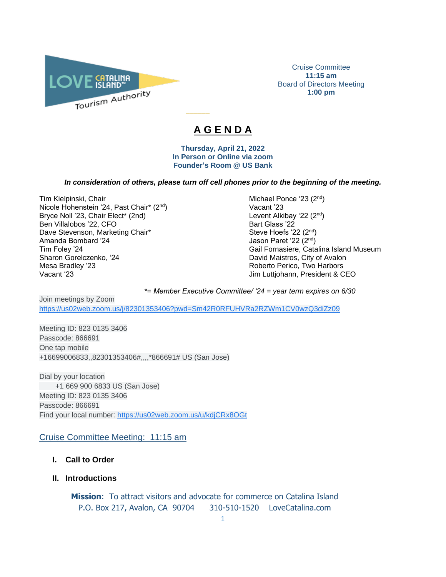

Cruise Committee **11:15 am** Board of Directors Meeting **1:00 pm**

# **A G E N D A**

 $\overline{\phantom{a}}$ 

**Thursday, April 21, 2022 In Person or Online via zoom Founder's Room @ US Bank**

#### *In consideration of others, please turn off cell phones prior to the beginning of the meeting.*

Tim Kielpinski, Chair Michael Ponce '23 (2<sup>nd</sup>) Michael Ponce '23 (2<sup>nd</sup>) Nicole Hohenstein '24, Past Chair\* (2<sup>nd</sup>) Vacant '23 Bryce Noll '23, Chair Elect\* (2nd) Ben Villalobos '22, CFO<br>
Dave Stevenson, Marketing Chair\* Steve Hoefs '22 (2<sup>nd</sup>) Dave Stevenson, Marketing Chair\* Amanda Bombard '24 Jason Paret '22 (2<sup>nd</sup>) Mesa Bradley '23 Roberto Perico, Two Harbors Vacant '23 Jim Luttjohann, President & CEO

nd ) Tim Foley '24 Gail Fornasiere, Catalina Island Museum<br>
Sharon Gorelczenko, '24 Gail Fornasiere, Catalina Island Museum<br>
David Maistros, City of Avalon David Maistros, City of Avalon

*\*= Member Executive Committee/ '24 = year term expires on 6/30* 

Join meetings by Zoom [https://us02web.zoom.us/j/82301353406?pwd=Sm42R0RFUHVRa2RZWm1CV0wzQ3diZz09](https://www.google.com/url?q=https://us02web.zoom.us/j/82301353406?pwd%3DSm42R0RFUHVRa2RZWm1CV0wzQ3diZz09&sa=D&source=calendar&ust=1615520592838000&usg=AOvVaw2YOhWUTEJgTHZ7_ay-dgZd)

Meeting ID: 823 0135 3406 Passcode: 866691 One tap mobile +16699006833,,82301353406#,,,,\*866691# US (San Jose)

Dial by your location +1 669 900 6833 US (San Jose) Meeting ID: 823 0135 3406 Passcode: 866691 Find your local number: [https://us02web.zoom.us/u/kdjCRx8OGt](https://www.google.com/url?q=https://us02web.zoom.us/u/kdjCRx8OGt&sa=D&source=calendar&ust=1615520592838000&usg=AOvVaw2gwBpPGmW2ln1ZL1spFK5e)

Cruise Committee Meeting: 11:15 am

- **I. Call to Order**
- **II. Introductions**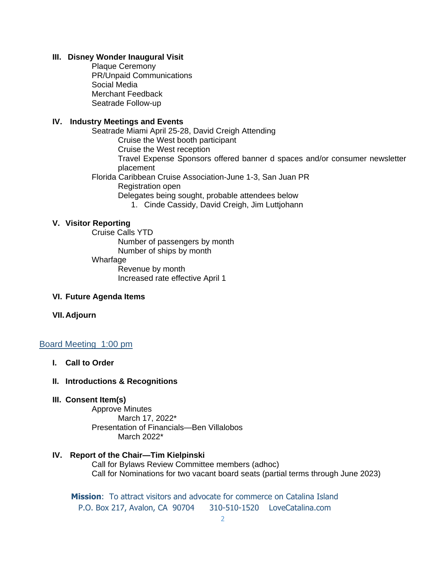## **III. Disney Wonder Inaugural Visit**

Plaque Ceremony PR/Unpaid Communications Social Media Merchant Feedback Seatrade Follow-up

# **IV. Industry Meetings and Events**

Seatrade Miami April 25-28, David Creigh Attending Cruise the West booth participant Cruise the West reception Travel Expense Sponsors offered banner d spaces and/or consumer newsletter placement Florida Caribbean Cruise Association-June 1-3, San Juan PR Registration open Delegates being sought, probable attendees below 1. Cinde Cassidy, David Creigh, Jim Luttjohann

# **V. Visitor Reporting**

Cruise Calls YTD Number of passengers by month Number of ships by month Wharfage Revenue by month Increased rate effective April 1

# **VI. Future Agenda Items**

#### **VII.Adjourn**

# Board Meeting 1:00 pm

**I. Call to Order** 

### **II. Introductions & Recognitions**

#### **III. Consent Item(s)**

Approve Minutes March 17, 2022\* Presentation of Financials—Ben Villalobos March 2022\*

# **IV. Report of the Chair—Tim Kielpinski** Call for Bylaws Review Committee members (adhoc) Call for Nominations for two vacant board seats (partial terms through June 2023)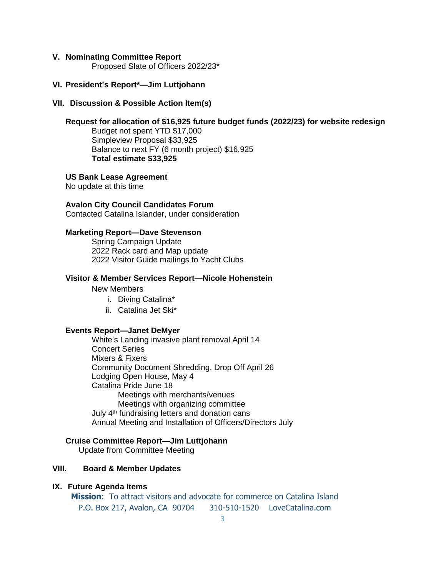#### **V. Nominating Committee Report**

Proposed Slate of Officers 2022/23\*

# **VI. President's Report\*—Jim Luttjohann**

#### **VII. Discussion & Possible Action Item(s)**

# **Request for allocation of \$16,925 future budget funds (2022/23) for website redesign**

Budget not spent YTD \$17,000 Simpleview Proposal \$33,925 Balance to next FY (6 month project) \$16,925 **Total estimate \$33,925**

#### **US Bank Lease Agreement**

No update at this time

# **Avalon City Council Candidates Forum**

Contacted Catalina Islander, under consideration

# **Marketing Report—Dave Stevenson**

Spring Campaign Update 2022 Rack card and Map update 2022 Visitor Guide mailings to Yacht Clubs

#### **Visitor & Member Services Report—Nicole Hohenstein**

New Members

- i. Diving Catalina\*
- ii. Catalina Jet Ski\*

#### **Events Report—Janet DeMyer**

White's Landing invasive plant removal April 14 Concert Series Mixers & Fixers Community Document Shredding, Drop Off April 26 Lodging Open House, May 4 Catalina Pride June 18 Meetings with merchants/venues Meetings with organizing committee July 4<sup>th</sup> fundraising letters and donation cans Annual Meeting and Installation of Officers/Directors July

### **Cruise Committee Report—Jim Luttjohann**

Update from Committee Meeting

# **VIII. Board & Member Updates**

### **IX. Future Agenda Items**